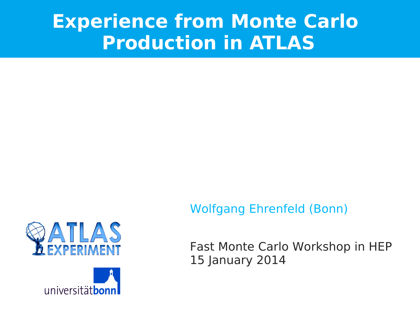# **Experience from Monte Carlo Production in ATLAS**







Fast Monte Carlo Workshop in HEP 15 January 2014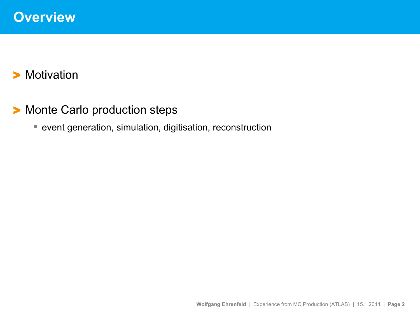#### > Motivation

- > Monte Carlo production steps
	- event generation, simulation, digitisation, reconstruction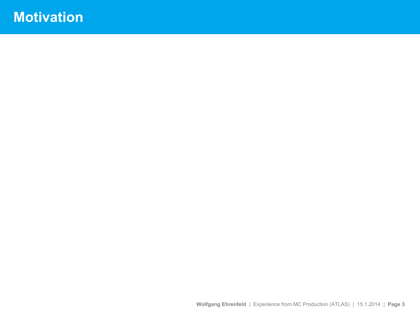# **Motivation**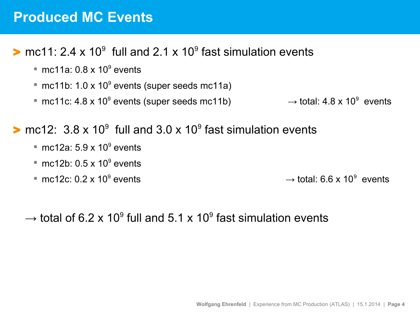#### **Produced MC Events**

#### $\triangleright$  mc11: 2.4 x 10<sup>9</sup> full and 2.1 x 10<sup>9</sup> fast simulation events

- $\blacksquare$  mc11a: 0.8 x 10<sup>9</sup> events
- $\blacksquare$  mc11b: 1.0 x 10<sup>9</sup> events (super seeds mc11a)
- mc11c: 4.8 x 10<sup>9</sup> events (super seeds mc11b)  $\longrightarrow$  total: 4.8 x 10<sup>9</sup>

 $\rightarrow$  total: 4.8 x 10<sup>9</sup> events

#### $\triangleright$  mc12: 3.8 x 10<sup>9</sup> full and 3.0 x 10<sup>9</sup> fast simulation events

- $\blacksquare$  mc12a: 5.9 x 10<sup>9</sup> events
- $\blacksquare$  mc12b: 0.5 x 10<sup>9</sup> events
- mc12c:  $0.2 \times 10^9$  events

events  $\rightarrow$  total: 6.6 x 10<sup>9</sup> events

 $\rightarrow$  total of 6.2 x 10<sup>9</sup> full and 5.1 x 10<sup>9</sup> fast simulation events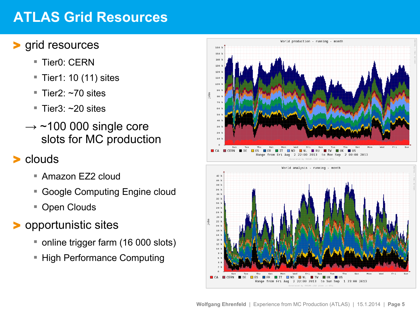# **ATLAS Grid Resources**

#### > grid resources

- Tier<sub>0</sub>: CFRN
- $\blacksquare$  Tier1: 10 (11) sites
- Tier2:  $~1$ 70 sites
- $\blacksquare$  Tier3:  $\sim$ 20 sites
- $\rightarrow$  ~100 000 single core slots for MC production

#### > clouds

- Amazon EZ2 cloud
- Google Computing Engine cloud
- Open Clouds

#### > opportunistic sites

- online trigger farm (16 000 slots)
- **High Performance Computing**

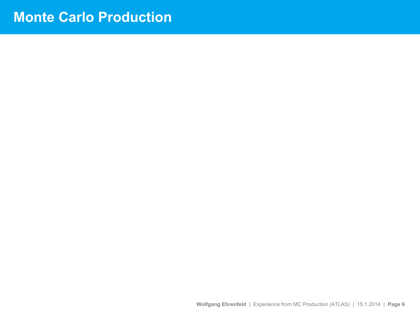### **Monte Carlo Production**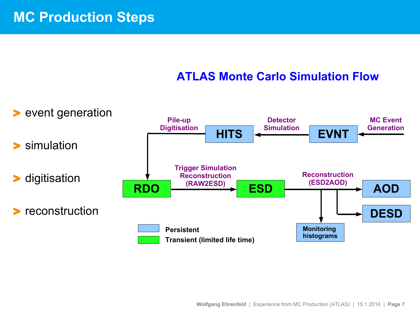#### **ATLAS Monte Carlo Simulation Flow**

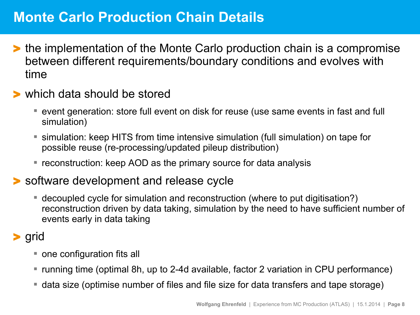# **Monte Carlo Production Chain Details**

- > the implementation of the Monte Carlo production chain is a compromise between different requirements/boundary conditions and evolves with time
- > which data should be stored
	- event generation: store full event on disk for reuse (use same events in fast and full simulation)
	- simulation: keep HITS from time intensive simulation (full simulation) on tape for possible reuse (re-processing/updated pileup distribution)
	- **reconstruction: keep AOD as the primary source for data analysis**

#### > software development and release cycle

 decoupled cycle for simulation and reconstruction (where to put digitisation?) reconstruction driven by data taking, simulation by the need to have sufficient number of events early in data taking

#### > grid

- one configuration fits all
- running time (optimal 8h, up to 2-4d available, factor 2 variation in CPU performance)
- data size (optimise number of files and file size for data transfers and tape storage)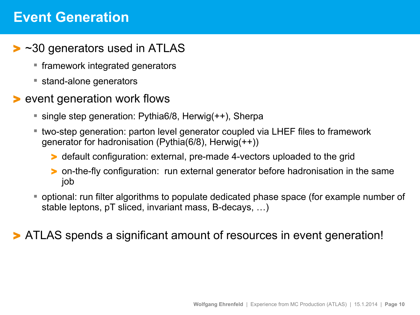### **Event Generation**

- ► ~30 generators used in ATLAS
	- **framework integrated generators**
	- stand-alone generators
- > event generation work flows
	- single step generation: Pythia6/8, Herwig(++), Sherpa
	- two-step generation: parton level generator coupled via LHEF files to framework generator for hadronisation (Pythia(6/8), Herwig(++))
		- > default configuration: external, pre-made 4-vectors uploaded to the grid
		- > on-the-fly configuration: run external generator before hadronisation in the same job
	- optional: run filter algorithms to populate dedicated phase space (for example number of stable leptons, pT sliced, invariant mass, B-decays, …)

> ATLAS spends a significant amount of resources in event generation!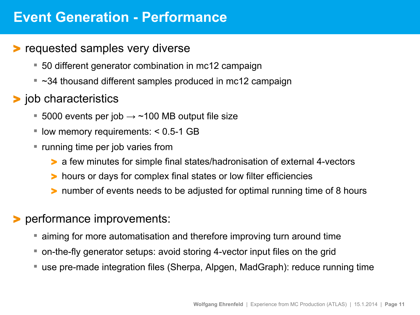### **Event Generation - Performance**

- > requested samples very diverse
	- 50 different generator combination in mc12 campaign
	- $\sim$  34 thousand different samples produced in mc12 campaign
- > job characteristics
	- 5000 events per job  $\rightarrow \sim 100$  MB output file size
	- $\blacksquare$  low memory requirements: < 0.5-1 GB
	- **F** running time per job varies from
		- > a few minutes for simple final states/hadronisation of external 4-vectors
		- > hours or days for complex final states or low filter efficiencies
		- > number of events needs to be adjusted for optimal running time of 8 hours
- > performance improvements:
	- aiming for more automatisation and therefore improving turn around time
	- on-the-fly generator setups: avoid storing 4-vector input files on the grid
	- use pre-made integration files (Sherpa, Alpgen, MadGraph): reduce running time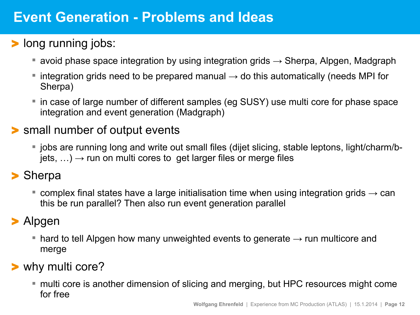# **Event Generation - Problems and Ideas**

- > long running jobs:
	- avoid phase space integration by using integration grids  $\rightarrow$  Sherpa, Alpgen, Madgraph
	- $\blacksquare$  integration grids need to be prepared manual  $\rightarrow$  do this automatically (needs MPI for Sherpa)
	- in case of large number of different samples (eg SUSY) use multi core for phase space integration and event generation (Madgraph)

#### > small number of output events

 jobs are running long and write out small files (dijet slicing, stable leptons, light/charm/b $jets, \ldots$ )  $\rightarrow$  run on multi cores to get larger files or merge files

#### > Sherpa

■ complex final states have a large initialisation time when using integration grids  $\rightarrow$  can this be run parallel? Then also run event generation parallel

#### > Alpgen

**• hard to tell Alpgen how many unweighted events to generate**  $\rightarrow$  **run multicore and** merge

#### > why multi core?

 multi core is another dimension of slicing and merging, but HPC resources might come for free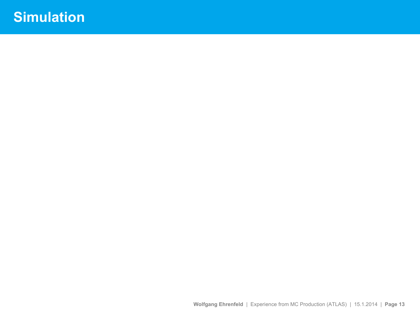# **Simulation**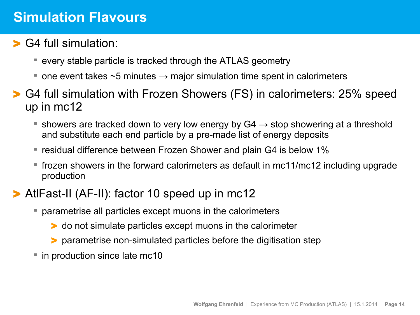### **Simulation Flavours**

- > G4 full simulation:
	- every stable particle is tracked through the ATLAS geometry
	- one event takes  $\sim$  5 minutes  $\rightarrow$  major simulation time spent in calorimeters
- > G4 full simulation with Frozen Showers (FS) in calorimeters: 25% speed up in mc12
	- showers are tracked down to very low energy by G4  $\rightarrow$  stop showering at a threshold and substitute each end particle by a pre-made list of energy deposits
	- **F** residual difference between Frozen Shower and plain G4 is below 1%
	- frozen showers in the forward calorimeters as default in mc11/mc12 including upgrade production
- > AtlFast-II (AF-II): factor 10 speed up in mc12
	- parametrise all particles except muons in the calorimeters
		- > do not simulate particles except muons in the calorimeter
		- > parametrise non-simulated particles before the digitisation step
	- in production since late mc10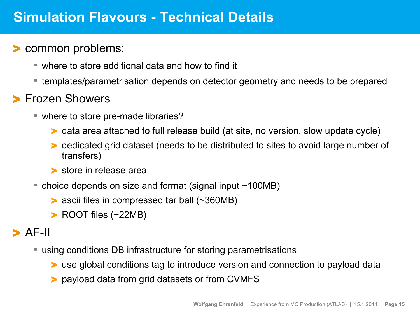### **Simulation Flavours - Technical Details**

#### > common problems:

- where to store additional data and how to find it
- templates/parametrisation depends on detector geometry and needs to be prepared

#### > Frozen Showers

- where to store pre-made libraries?
	- > data area attached to full release build (at site, no version, slow update cycle)
	- > dedicated grid dataset (needs to be distributed to sites to avoid large number of transfers)
	- > store in release area
- choice depends on size and format (signal input ~100MB)
	- > ascii files in compressed tar ball (~360MB)
	- > ROOT files (~22MB)

#### $>$  AF-II

- using conditions DB infrastructure for storing parametrisations
	- > use global conditions tag to introduce version and connection to payload data
	- > payload data from grid datasets or from CVMFS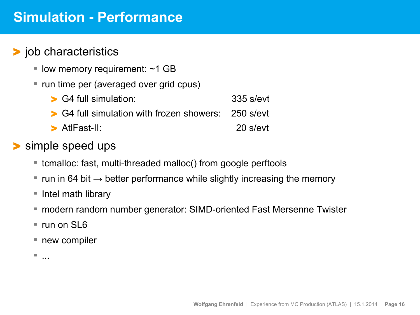## **Simulation - Performance**

#### > job characteristics

- $\blacksquare$  low memory requirement: ~1 GB
- run time per (averaged over grid cpus)
	- > G4 full simulation: 335 s/evt > G4 full simulation with frozen showers: 250 s/evt > AtlFast-II: 20 s/evt
- > simple speed ups
	- tcmalloc: fast, multi-threaded malloc() from google perftools
	- $\blacksquare$  run in 64 bit  $\rightarrow$  better performance while slightly increasing the memory
	- Intel math library
	- modern random number generator: SIMD-oriented Fast Mersenne Twister
	- run on SL6
	- new compiler

...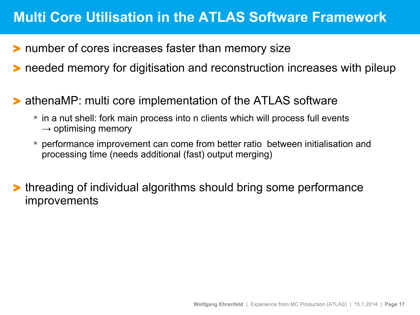# **Multi Core Utilisation in the ATLAS Software Framework**

- > number of cores increases faster than memory size
- > needed memory for digitisation and reconstruction increases with pileup
- > athenaMP: multi core implementation of the ATLAS software
	- in a nut shell: fork main process into n clients which will process full events  $\rightarrow$  optimising memory
	- performance improvement can come from better ratio between initialisation and processing time (needs additional (fast) output merging)
- > threading of individual algorithms should bring some performance improvements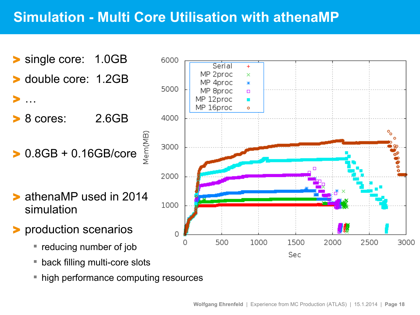# **Simulation - Multi Core Utilisation with athenaMP**

> single core: 1.0GB > double core: 1.2GB > … > 8 cores: 2.6GB > 0.8GB + 0.16GB/core

> athenaMP used in 2014 simulation

- > production scenarios
	- **reducing number of job**
	- back filling multi-core slots
	- high performance computing resources

Vem(MB)

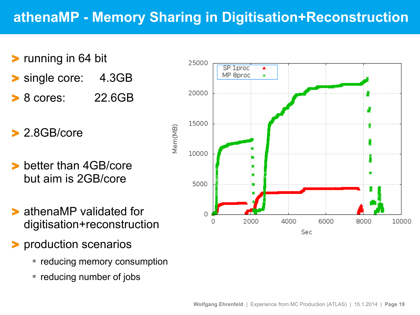# **athenaMP - Memory Sharing in Digitisation+Reconstruction**

- > running in 64 bit single core: 4.3GB
- > 8 cores: 22.6GB
- > 2.8GB/core
- better than 4GB/core but aim is 2GB/core
- > athenaMP validated for digitisation+reconstruction
- > production scenarios
	- **reducing memory consumption**
	- **reducing number of jobs**

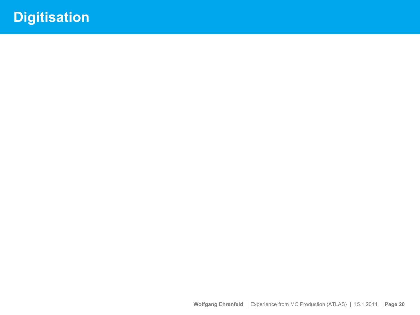# **Digitisation**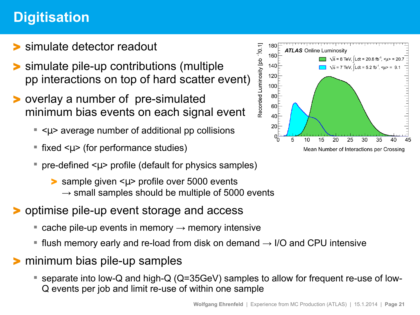# **Digitisation**

- > simulate detector readout
- > simulate pile-up contributions (multiple pp interactions on top of hard scatter event)
- > overlay a number of pre-simulated minimum bias events on each signal event
	- $\sim$   $\lt$   $\mu$  average number of additional pp collisions
	- fixed  $\leq \mu$  (for performance studies)
	- pre-defined  $\leq \mu$  profile (default for physics samples)
		- > sample given <µ> profile over 5000 events  $\rightarrow$  small samples should be multiple of 5000 events
- > optimise pile-up event storage and access
	- $\blacksquare$  cache pile-up events in memory  $\rightarrow$  memory intensive
	- **flush memory early and re-load from disk on demand**  $\rightarrow$  **I/O and CPU intensive**
- > minimum bias pile-up samples
	- separate into low-Q and high-Q (Q=35GeV) samples to allow for frequent re-use of low-Q events per job and limit re-use of within one sample

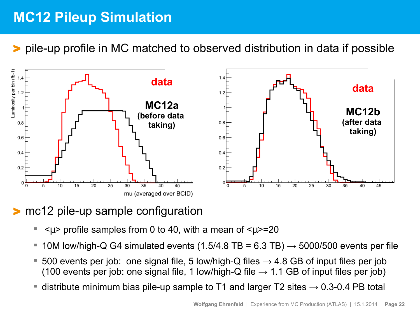# **MC12 Pileup Simulation**

> pile-up profile in MC matched to observed distribution in data if possible



#### > mc12 pile-up sample configuration

- $\langle \mu \rangle$  profile samples from 0 to 40, with a mean of  $\langle \mu \rangle$ =20
- 10M low/high-Q G4 simulated events (1.5/4.8 TB = 6.3 TB)  $\rightarrow$  5000/500 events per file
- 500 events per job: one signal file, 5 low/high-Q files  $\rightarrow$  4.8 GB of input files per job (100 events per job: one signal file, 1 low/high-Q file  $\rightarrow$  1.1 GB of input files per job)
- distribute minimum bias pile-up sample to T1 and larger T2 sites  $\rightarrow$  0.3-0.4 PB total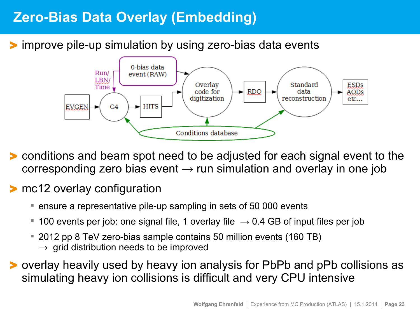# **Zero-Bias Data Overlay (Embedding)**

#### improve pile-up simulation by using zero-bias data events



- > conditions and beam spot need to be adjusted for each signal event to the corresponding zero bias event  $\rightarrow$  run simulation and overlay in one job
- > mc12 overlay configuration
	- ensure a representative pile-up sampling in sets of 50 000 events
	- 100 events per job: one signal file, 1 overlay file  $\rightarrow$  0.4 GB of input files per job
	- 2012 pp 8 TeV zero-bias sample contains 50 million events (160 TB)  $\rightarrow$  grid distribution needs to be improved
- > overlay heavily used by heavy ion analysis for PbPb and pPb collisions as simulating heavy ion collisions is difficult and very CPU intensive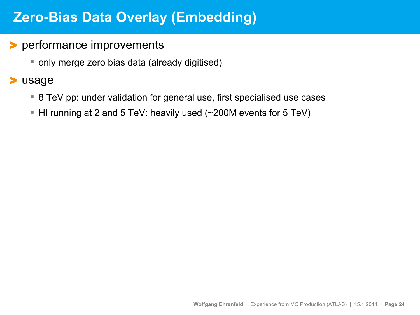# **Zero-Bias Data Overlay (Embedding)**

#### > performance improvements

only merge zero bias data (already digitised)

#### > usage

- 8 TeV pp: under validation for general use, first specialised use cases
- HI running at 2 and 5 TeV: heavily used (~200M events for 5 TeV)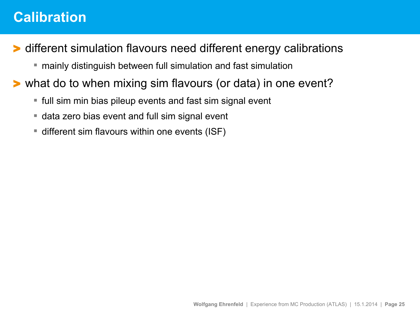### **Calibration**

> different simulation flavours need different energy calibrations

- mainly distinguish between full simulation and fast simulation
- > what do to when mixing sim flavours (or data) in one event?
	- full sim min bias pileup events and fast sim signal event
	- data zero bias event and full sim signal event
	- different sim flavours within one events (ISF)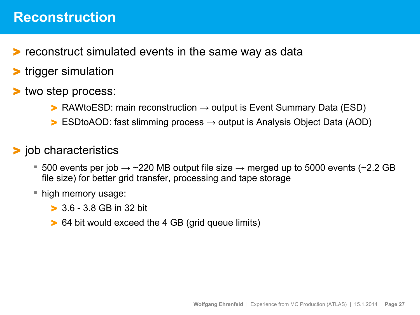### **Reconstruction**

- > reconstruct simulated events in the same way as data
- > trigger simulation
- two step process:
	- $\triangleright$  RAWtoESD: main reconstruction  $\rightarrow$  output is Event Summary Data (ESD)
	- $\triangleright$  ESDtoAOD: fast slimming process  $\rightarrow$  output is Analysis Object Data (AOD)
- > job characteristics
	- 500 events per job  $\rightarrow$  ~220 MB output file size  $\rightarrow$  merged up to 5000 events (~2.2 GB file size) for better grid transfer, processing and tape storage
	- high memory usage:
		- > 3.6 3.8 GB in 32 bit
		- > 64 bit would exceed the 4 GB (grid queue limits)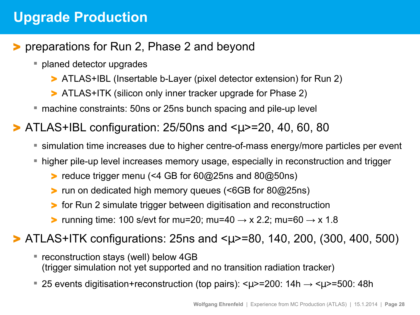# **Upgrade Production**

#### > preparations for Run 2, Phase 2 and beyond

- planed detector upgrades
	- > ATLAS+IBL (Insertable b-Layer (pixel detector extension) for Run 2)
	- > ATLAS+ITK (silicon only inner tracker upgrade for Phase 2)
- machine constraints: 50ns or 25ns bunch spacing and pile-up level

 $\blacktriangleright$  ATLAS+IBL configuration: 25/50ns and  $\lt\mu$  >=20, 40, 60, 80

- simulation time increases due to higher centre-of-mass energy/more particles per event
- higher pile-up level increases memory usage, especially in reconstruction and trigger
	- > reduce trigger menu (<4 GB for 60@25ns and 80@50ns)
	- > run on dedicated high memory queues (<6GB for 80@25ns)
	- > for Run 2 simulate trigger between digitisation and reconstruction
	- > running time: 100 s/evt for mu=20; mu=40  $\rightarrow$  x 2.2; mu=60  $\rightarrow$  x 1.8

> ATLAS+ITK configurations: 25ns and <µ>=80, 140, 200, (300, 400, 500)

- reconstruction stays (well) below 4GB (trigger simulation not yet supported and no transition radiation tracker)
- 25 events digitisation+reconstruction (top pairs):  $\langle \mu \rangle$ =200: 14h  $\rightarrow \langle \mu \rangle$ =500: 48h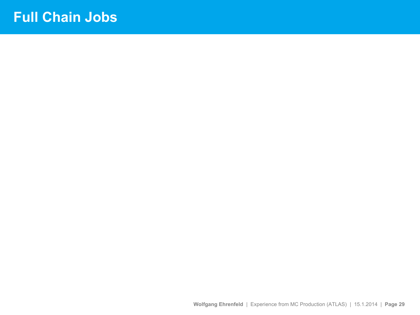## **Full Chain Jobs**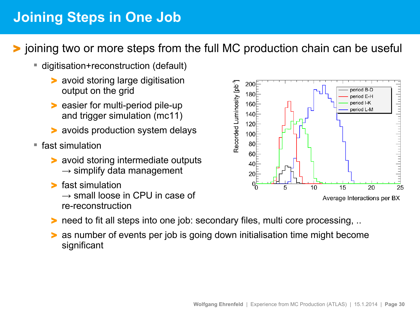# **Joining Steps in One Job**

> joining two or more steps from the full MC production chain can be useful

- digitisation+reconstruction (default)
	- avoid storing large digitisation output on the grid
	- > easier for multi-period pile-up and trigger simulation (mc11)
	- avoids production system delays
- fast simulation
	- > avoid storing intermediate outputs  $\rightarrow$  simplify data management
	- > fast simulation

 $\rightarrow$  small loose in CPU in case of re-reconstruction

- Recorded Luminosity [pb<sup>-1</sup>] 200 eriod B-D 180 period E-H period I-K 160 period L-M 140 120 100 80 60 40 20 15 20 25 5  $10$ Average Interactions per BX
- > need to fit all steps into one job: secondary files, multi core processing, ..
- as number of events per job is going down initialisation time might become significant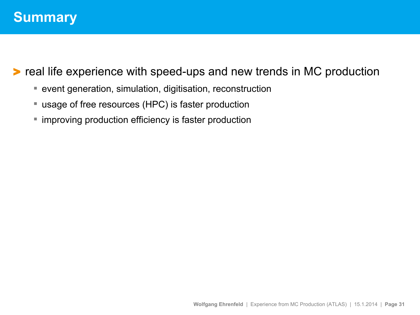#### > real life experience with speed-ups and new trends in MC production

- event generation, simulation, digitisation, reconstruction
- usage of free resources (HPC) is faster production
- **The improving production efficiency is faster production**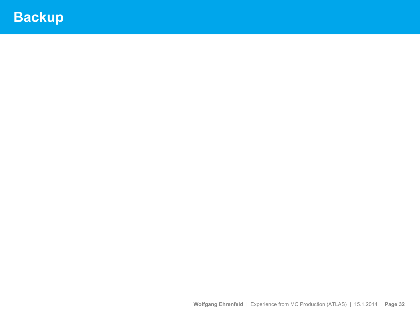# **Backup**